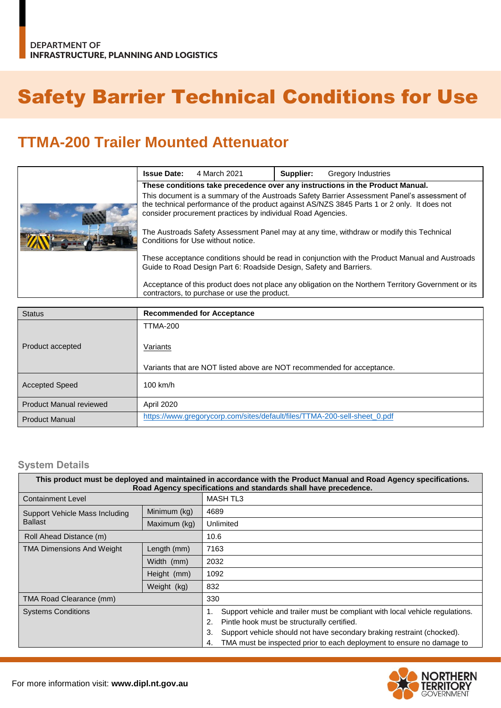## Safety Barrier Technical Conditions for Use

## **TTMA-200 Trailer Mounted Attenuator**

|                                                                                                                                                      | <b>Issue Date:</b>                                                                                                                                                                                                                                        | 4 March 2021 | Supplier: | <b>Gregory Industries</b> |  |  |  |
|------------------------------------------------------------------------------------------------------------------------------------------------------|-----------------------------------------------------------------------------------------------------------------------------------------------------------------------------------------------------------------------------------------------------------|--------------|-----------|---------------------------|--|--|--|
|                                                                                                                                                      | These conditions take precedence over any instructions in the Product Manual.                                                                                                                                                                             |              |           |                           |  |  |  |
|                                                                                                                                                      | This document is a summary of the Austroads Safety Barrier Assessment Panel's assessment of<br>the technical performance of the product against AS/NZS 3845 Parts 1 or 2 only. It does not<br>consider procurement practices by individual Road Agencies. |              |           |                           |  |  |  |
|                                                                                                                                                      | The Austroads Safety Assessment Panel may at any time, withdraw or modify this Technical<br>Conditions for Use without notice.                                                                                                                            |              |           |                           |  |  |  |
|                                                                                                                                                      | These acceptance conditions should be read in conjunction with the Product Manual and Austroads<br>Guide to Road Design Part 6: Roadside Design, Safety and Barriers.                                                                                     |              |           |                           |  |  |  |
| Acceptance of this product does not place any obligation on the Northern Territory Government or its<br>contractors, to purchase or use the product. |                                                                                                                                                                                                                                                           |              |           |                           |  |  |  |

| <b>Status</b>                  | <b>Recommended for Acceptance</b>                                         |  |  |  |  |
|--------------------------------|---------------------------------------------------------------------------|--|--|--|--|
|                                | <b>TTMA-200</b>                                                           |  |  |  |  |
| Product accepted               | Variants                                                                  |  |  |  |  |
|                                | Variants that are NOT listed above are NOT recommended for acceptance.    |  |  |  |  |
| <b>Accepted Speed</b>          | $100$ km/h                                                                |  |  |  |  |
| <b>Product Manual reviewed</b> | April 2020                                                                |  |  |  |  |
| <b>Product Manual</b>          | https://www.gregorycorp.com/sites/default/files/TTMA-200-sell-sheet_0.pdf |  |  |  |  |

## **System Details**

| This product must be deployed and maintained in accordance with the Product Manual and Road Agency specifications.<br>Road Agency specifications and standards shall have precedence. |              |                                                                                                                                                                                                                                                                                                   |  |  |  |  |
|---------------------------------------------------------------------------------------------------------------------------------------------------------------------------------------|--------------|---------------------------------------------------------------------------------------------------------------------------------------------------------------------------------------------------------------------------------------------------------------------------------------------------|--|--|--|--|
| <b>Containment Level</b>                                                                                                                                                              |              | MASH TL3                                                                                                                                                                                                                                                                                          |  |  |  |  |
| Support Vehicle Mass Including<br><b>Ballast</b>                                                                                                                                      | Minimum (kg) | 4689                                                                                                                                                                                                                                                                                              |  |  |  |  |
|                                                                                                                                                                                       | Maximum (kg) | Unlimited                                                                                                                                                                                                                                                                                         |  |  |  |  |
| Roll Ahead Distance (m)                                                                                                                                                               |              | 10.6                                                                                                                                                                                                                                                                                              |  |  |  |  |
| <b>TMA Dimensions And Weight</b>                                                                                                                                                      | Length (mm)  | 7163                                                                                                                                                                                                                                                                                              |  |  |  |  |
|                                                                                                                                                                                       | Width (mm)   | 2032                                                                                                                                                                                                                                                                                              |  |  |  |  |
|                                                                                                                                                                                       | Height (mm)  | 1092                                                                                                                                                                                                                                                                                              |  |  |  |  |
|                                                                                                                                                                                       | Weight (kg)  | 832                                                                                                                                                                                                                                                                                               |  |  |  |  |
| TMA Road Clearance (mm)                                                                                                                                                               |              | 330                                                                                                                                                                                                                                                                                               |  |  |  |  |
| <b>Systems Conditions</b>                                                                                                                                                             |              | Support vehicle and trailer must be compliant with local vehicle regulations.<br>Pintle hook must be structurally certified.<br>2.<br>Support vehicle should not have secondary braking restraint (chocked).<br>3.<br>TMA must be inspected prior to each deployment to ensure no damage to<br>4. |  |  |  |  |